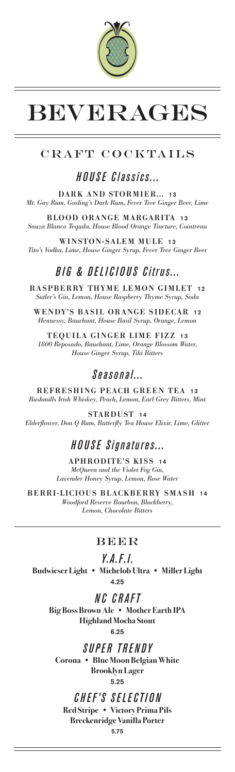

# BEVERAGES

## CRAFT COCKTAILS

## *HOUSE Classics...*

DARK AND STORMIER... 13 *Mt. Gay Rum, Gosling's Dark Rum, Fever Tree Ginger Beer, Lime*

BLOOD ORANGE MARGARITA 13 *Sauza Blanco Tequila, House Blood Orange Tincture, Cointreau*

WINSTON-SALEM MULE 13 *Tito's Vodka, Lime, House Ginger Syrup, Fever Tree Ginger Beer*

## *BIG & DELICIOUS Citrus...*

RASPBERRY THYME LEMON GIMLET 12 *Sutler's Gin, Lemon, House Raspberry Thyme Syrup, Soda*

WENDY'S BASIL ORANGE SIDECAR 12 *Hennessy, Bauchant, House Basil Syrup, Orange, Lemon*

TEQUILA GINGER LIME FIZZ 13 *1800 Reposado, Bauchant, Lime, Orange Blossom Water, House Ginger Syrup, Tiki Bitters*

## *Seasonal...*

REFRESHING PEACH GREEN TEA *Bushmills Irish Whiskey, Peach, Lemon, Earl Grey Bitters, Mint*

STARDUST 14 *Elderflower, Don Q Rum, Butterfly Tea House Elixir, Lime, Glitter*

## *HOUSE Signatures...*

APHRODITE'S KISS 14 *McQueen and the Violet Fog Gin, Lavender Honey Syrup, Lemon, Rose Water*

BERRI-LICIOUS BLACKBERRY SMASH 14 *Woodford Reserve Bourbon, Blackberry, Lemon, Chocolate Bitters*

#### **BEER**

### *Y.A.F.I.*

**Budwieser Light • Michelob Ultra • Miller Light** 4.25

*NC CRAFT* **Big Boss Brown Ale • Mother Earth IPA Highland Mocha Stout** 6.25

*SUPER TRENDY* **Corona • Blue Moon Belgian White Brooklyn Lager** 5.25

*CHEF'S SELECTION* **Red Stripe • Victory Prima Pils Breckenridge Vanilla Porter**

5.75